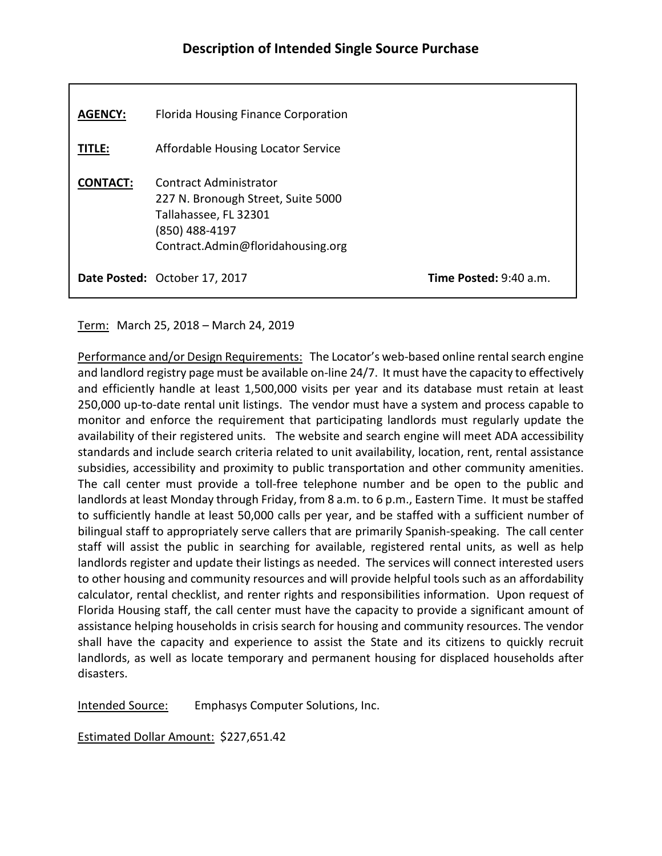| <b>AGENCY:</b>  | Florida Housing Finance Corporation                                                                                                          |                                 |
|-----------------|----------------------------------------------------------------------------------------------------------------------------------------------|---------------------------------|
| <b>TITLE:</b>   | Affordable Housing Locator Service                                                                                                           |                                 |
| <b>CONTACT:</b> | Contract Administrator<br>227 N. Bronough Street, Suite 5000<br>Tallahassee, FL 32301<br>(850) 488-4197<br>Contract.Admin@floridahousing.org |                                 |
|                 | Date Posted: October 17, 2017                                                                                                                | <b>Time Posted:</b> $9:40$ a.m. |

## Term: March 25, 2018 – March 24, 2019

Performance and/or Design Requirements: The Locator's web-based online rental search engine and landlord registry page must be available on-line 24/7. It must have the capacity to effectively and efficiently handle at least 1,500,000 visits per year and its database must retain at least 250,000 up-to-date rental unit listings. The vendor must have a system and process capable to monitor and enforce the requirement that participating landlords must regularly update the availability of their registered units. The website and search engine will meet ADA accessibility standards and include search criteria related to unit availability, location, rent, rental assistance subsidies, accessibility and proximity to public transportation and other community amenities. The call center must provide a toll-free telephone number and be open to the public and landlords at least Monday through Friday, from 8 a.m. to 6 p.m., Eastern Time. It must be staffed to sufficiently handle at least 50,000 calls per year, and be staffed with a sufficient number of bilingual staff to appropriately serve callers that are primarily Spanish-speaking. The call center staff will assist the public in searching for available, registered rental units, as well as help landlords register and update their listings as needed. The services will connect interested users to other housing and community resources and will provide helpful tools such as an affordability calculator, rental checklist, and renter rights and responsibilities information. Upon request of Florida Housing staff, the call center must have the capacity to provide a significant amount of assistance helping households in crisis search for housing and community resources. The vendor shall have the capacity and experience to assist the State and its citizens to quickly recruit landlords, as well as locate temporary and permanent housing for displaced households after disasters.

Intended Source: Emphasys Computer Solutions, Inc.

Estimated Dollar Amount: \$227,651.42